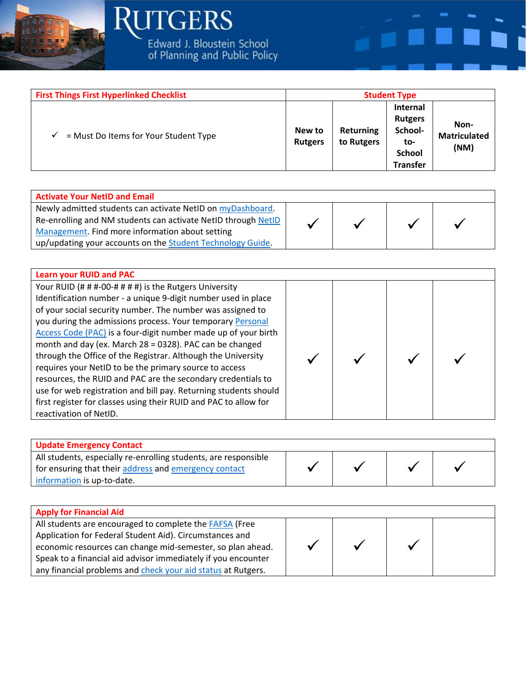

## **RUTGERS** Edward J. Bloustein School<br>of Planning and Public Policy

| <b>First Things First Hyperlinked Checklist</b> |                          |                         | <b>Student Type</b>                                                                     |                                     |
|-------------------------------------------------|--------------------------|-------------------------|-----------------------------------------------------------------------------------------|-------------------------------------|
| = Must Do Items for Your Student Type<br>✓      | New to<br><b>Rutgers</b> | Returning<br>to Rutgers | <b>Internal</b><br><b>Rutgers</b><br>School-<br>to-<br><b>School</b><br><b>Transfer</b> | Non-<br><b>Matriculated</b><br>(NM) |

| <b>Activate Your NetID and Email</b>                          |  |  |  |
|---------------------------------------------------------------|--|--|--|
| Newly admitted students can activate NetID on myDashboard.    |  |  |  |
| Re-enrolling and NM students can activate NetID through NetID |  |  |  |
| Management. Find more information about setting               |  |  |  |
| up/updating your accounts on the Student Technology Guide.    |  |  |  |

| <b>Learn your RUID and PAC</b>                                   |  |  |
|------------------------------------------------------------------|--|--|
| Your RUID (# # #-00-# # # #) is the Rutgers University           |  |  |
| Identification number - a unique 9-digit number used in place    |  |  |
| of your social security number. The number was assigned to       |  |  |
| you during the admissions process. Your temporary Personal       |  |  |
| Access Code (PAC) is a four-digit number made up of your birth   |  |  |
| month and day (ex. March 28 = 0328). PAC can be changed          |  |  |
| through the Office of the Registrar. Although the University     |  |  |
| requires your NetID to be the primary source to access           |  |  |
| resources, the RUID and PAC are the secondary credentials to     |  |  |
| use for web registration and bill pay. Returning students should |  |  |
| first register for classes using their RUID and PAC to allow for |  |  |
| reactivation of NetID.                                           |  |  |

| <b>Update Emergency Contact</b>                                                                                          |  |  |
|--------------------------------------------------------------------------------------------------------------------------|--|--|
| All students, especially re-enrolling students, are responsible<br>for ensuring that their address and emergency contact |  |  |
| information is up-to-date.                                                                                               |  |  |

| <b>Apply for Financial Aid</b>                                 |  |  |
|----------------------------------------------------------------|--|--|
| All students are encouraged to complete the <b>FAFSA</b> (Free |  |  |
| Application for Federal Student Aid). Circumstances and        |  |  |
| economic resources can change mid-semester, so plan ahead.     |  |  |
| Speak to a financial aid advisor immediately if you encounter  |  |  |
| any financial problems and check your aid status at Rutgers.   |  |  |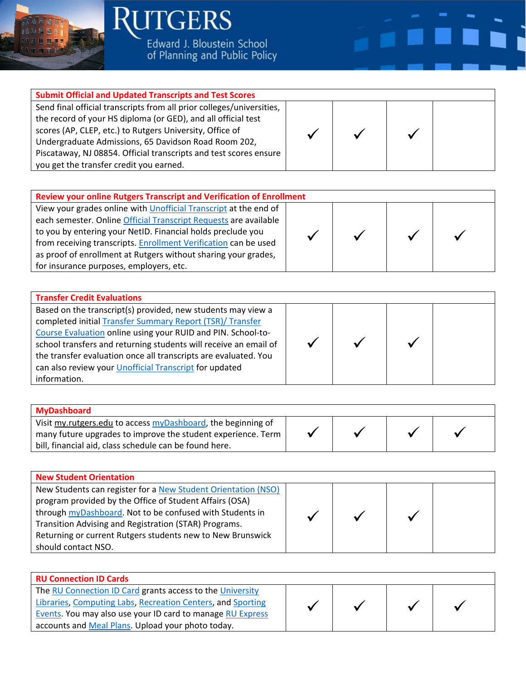

**JTGERS** Edward J. Bloustein School<br>of Planning and Public Policy



## **Submit Official and Updated Transcripts and Test Scores**

Send final official transcripts from all prior colleges/universities, the record of your HS diploma (or GED), and all official test scores (AP, CLEP, etc.) to Rutgers University, Office of Undergraduate Admissions, 65 Davidson Road Room 202, Piscataway, NJ 08854. Official transcripts and test scores ensure you get the transfer credit you earned.



| <b>Review your online Rutgers Transcript and Verification of Enrollment</b> |  |  |  |  |
|-----------------------------------------------------------------------------|--|--|--|--|
| View your grades online with <i>Unofficial Transcript</i> at the end of     |  |  |  |  |
| each semester. Online Official Transcript Requests are available            |  |  |  |  |
| to you by entering your NetID. Financial holds preclude you                 |  |  |  |  |
| from receiving transcripts. Enrollment Verification can be used             |  |  |  |  |
| as proof of enrollment at Rutgers without sharing your grades,              |  |  |  |  |
| for insurance purposes, employers, etc.                                     |  |  |  |  |
|                                                                             |  |  |  |  |

| <b>Transfer Credit Evaluations</b>                                                                                                                                                                                                                                                                                                                                                                         |  |  |
|------------------------------------------------------------------------------------------------------------------------------------------------------------------------------------------------------------------------------------------------------------------------------------------------------------------------------------------------------------------------------------------------------------|--|--|
| Based on the transcript(s) provided, new students may view a<br>completed initial Transfer Summary Report (TSR)/ Transfer<br>Course Evaluation online using your RUID and PIN. School-to-<br>school transfers and returning students will receive an email of<br>the transfer evaluation once all transcripts are evaluated. You<br>can also review your Unofficial Transcript for updated<br>information. |  |  |

| MyDashboard                                                  |  |  |
|--------------------------------------------------------------|--|--|
| Visit my.rutgers.edu to access myDashboard, the beginning of |  |  |
| many future upgrades to improve the student experience. Term |  |  |
| bill, financial aid, class schedule can be found here.       |  |  |

| <b>New Student Orientation</b>                                |  |  |  |  |  |
|---------------------------------------------------------------|--|--|--|--|--|
| New Students can register for a New Student Orientation (NSO) |  |  |  |  |  |
| program provided by the Office of Student Affairs (OSA)       |  |  |  |  |  |
| through myDashboard. Not to be confused with Students in      |  |  |  |  |  |
| Transition Advising and Registration (STAR) Programs.         |  |  |  |  |  |
| Returning or current Rutgers students new to New Brunswick    |  |  |  |  |  |
| should contact NSO.                                           |  |  |  |  |  |

| <b>RU Connection ID Cards</b>                               |  |  |
|-------------------------------------------------------------|--|--|
| The RU Connection ID Card grants access to the University   |  |  |
| Libraries, Computing Labs, Recreation Centers, and Sporting |  |  |
| Events. You may also use your ID card to manage RU Express  |  |  |
| accounts and Meal Plans. Upload your photo today.           |  |  |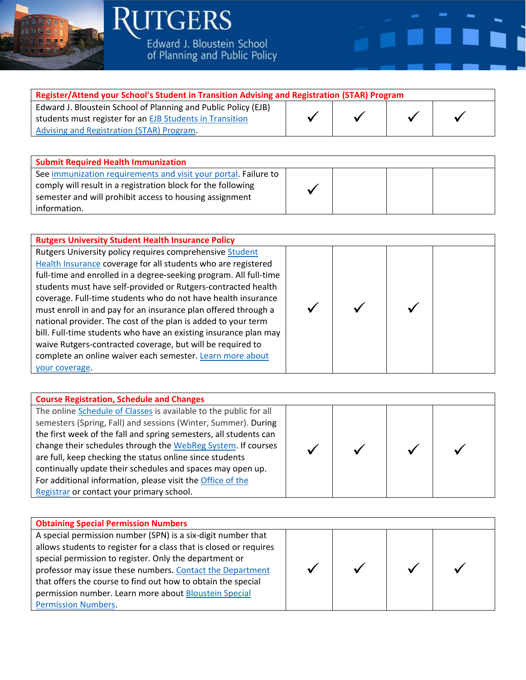

**RUTGERS** Edward J. Bloustein School<br>of Planning and Public Policy

| Register/Attend your School's Student in Transition Advising and Registration (STAR) Program |  |  |  |  |  |
|----------------------------------------------------------------------------------------------|--|--|--|--|--|
| Edward J. Bloustein School of Planning and Public Policy (EJB)                               |  |  |  |  |  |
| students must register for an EJB Students in Transition                                     |  |  |  |  |  |
| Advising and Registration (STAR) Program.                                                    |  |  |  |  |  |
|                                                                                              |  |  |  |  |  |

| <b>Submit Required Health Immunization</b>                                                                                                                                                                 |  |  |  |  |
|------------------------------------------------------------------------------------------------------------------------------------------------------------------------------------------------------------|--|--|--|--|
| See immunization requirements and visit your portal. Failure to<br>comply will result in a registration block for the following<br>semester and will prohibit access to housing assignment<br>information. |  |  |  |  |

| <b>Rutgers University Student Health Insurance Policy</b>                                                                                                                                                                                                                                                                                                                                                                                                                                                                                                                                                                                                                            |  |  |  |  |  |
|--------------------------------------------------------------------------------------------------------------------------------------------------------------------------------------------------------------------------------------------------------------------------------------------------------------------------------------------------------------------------------------------------------------------------------------------------------------------------------------------------------------------------------------------------------------------------------------------------------------------------------------------------------------------------------------|--|--|--|--|--|
| Rutgers University policy requires comprehensive Student<br>Health Insurance coverage for all students who are registered<br>full-time and enrolled in a degree-seeking program. All full-time<br>students must have self-provided or Rutgers-contracted health<br>coverage. Full-time students who do not have health insurance<br>must enroll in and pay for an insurance plan offered through a<br>national provider. The cost of the plan is added to your term<br>bill. Full-time students who have an existing insurance plan may<br>waive Rutgers-contracted coverage, but will be required to<br>complete an online waiver each semester. Learn more about<br>your coverage. |  |  |  |  |  |

| <b>Course Registration, Schedule and Changes</b>                  |  |  |
|-------------------------------------------------------------------|--|--|
| The online Schedule of Classes is available to the public for all |  |  |
| semesters (Spring, Fall) and sessions (Winter, Summer). During    |  |  |
| the first week of the fall and spring semesters, all students can |  |  |
| change their schedules through the WebReg System. If courses      |  |  |
| are full, keep checking the status online since students          |  |  |
| continually update their schedules and spaces may open up.        |  |  |
| For additional information, please visit the Office of the        |  |  |
| Registrar or contact your primary school.                         |  |  |

| <b>Obtaining Special Permission Numbers</b>                                                                                                                                                                                                                                                                                                                                                                      |  |  |
|------------------------------------------------------------------------------------------------------------------------------------------------------------------------------------------------------------------------------------------------------------------------------------------------------------------------------------------------------------------------------------------------------------------|--|--|
| A special permission number (SPN) is a six-digit number that<br>allows students to register for a class that is closed or requires<br>special permission to register. Only the department or<br>professor may issue these numbers. Contact the Department<br>that offers the course to find out how to obtain the special<br>permission number. Learn more about Bloustein Special<br><b>Permission Numbers.</b> |  |  |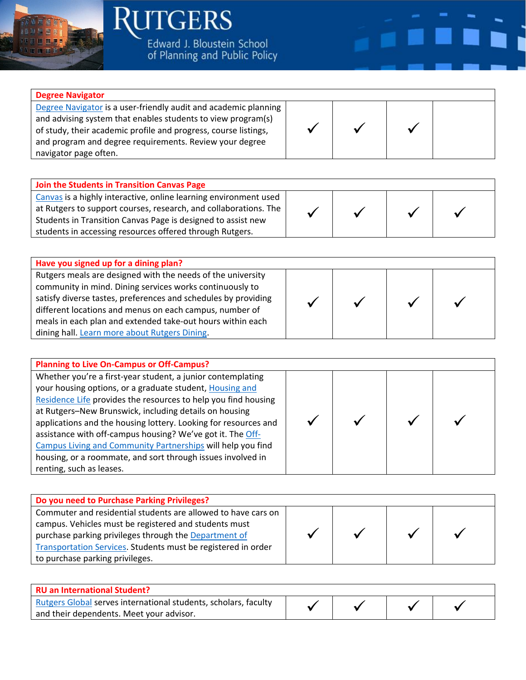

**Degree Navigator**

navigator page often.

**ITGERS** Edward J. Bloustein School<br>of Planning and Public Policy

[Degree Navigator](https://nbdn.rutgers.edu/) is a user-friendly audit and academic planning and advising system that enables students to view program(s) of study, their academic profile and progress, course listings, and program and degree requirements. Review your degree

| Join the Students in Transition Canvas Page                      |  |  |  |
|------------------------------------------------------------------|--|--|--|
| Canvas is a highly interactive, online learning environment used |  |  |  |
| at Rutgers to support courses, research, and collaborations. The |  |  |  |
| Students in Transition Canvas Page is designed to assist new     |  |  |  |
| students in accessing resources offered through Rutgers.         |  |  |  |

| Have you signed up for a dining plan?                          |  |  |
|----------------------------------------------------------------|--|--|
| Rutgers meals are designed with the needs of the university    |  |  |
| community in mind. Dining services works continuously to       |  |  |
| satisfy diverse tastes, preferences and schedules by providing |  |  |
| different locations and menus on each campus, number of        |  |  |
| meals in each plan and extended take-out hours within each     |  |  |
| dining hall. Learn more about Rutgers Dining.                  |  |  |

| <b>Planning to Live On-Campus or Off-Campus?</b>                                                                                                                                                                                                                                                                                                                                                                                                                                                                                               |  |  |
|------------------------------------------------------------------------------------------------------------------------------------------------------------------------------------------------------------------------------------------------------------------------------------------------------------------------------------------------------------------------------------------------------------------------------------------------------------------------------------------------------------------------------------------------|--|--|
| Whether you're a first-year student, a junior contemplating<br>your housing options, or a graduate student, Housing and<br>Residence Life provides the resources to help you find housing<br>at Rutgers-New Brunswick, including details on housing<br>applications and the housing lottery. Looking for resources and<br>assistance with off-campus housing? We've got it. The Off-<br>Campus Living and Community Partnerships will help you find<br>housing, or a roommate, and sort through issues involved in<br>renting, such as leases. |  |  |

| Do you need to Purchase Parking Privileges?                   |  |  |
|---------------------------------------------------------------|--|--|
| Commuter and residential students are allowed to have cars on |  |  |
| campus. Vehicles must be registered and students must         |  |  |
| purchase parking privileges through the Department of         |  |  |
| Transportation Services. Students must be registered in order |  |  |
| to purchase parking privileges.                               |  |  |

| <b>RU an International Student?</b>                             |  |  |
|-----------------------------------------------------------------|--|--|
| Rutgers Global serves international students, scholars, faculty |  |  |
| and their dependents. Meet your advisor.                        |  |  |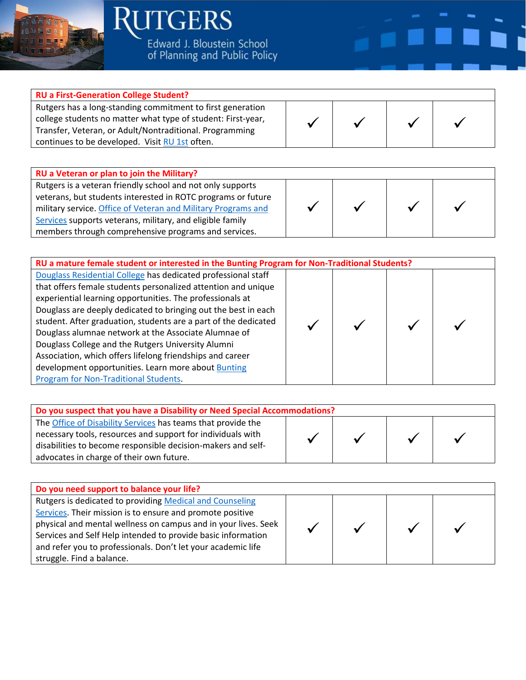

**RUTGERS** Edward J. Bloustein School<br>of Planning and Public Policy

| <b>RU a First-Generation College Student?</b>                                                                                                                                                                                           |  |  |  |
|-----------------------------------------------------------------------------------------------------------------------------------------------------------------------------------------------------------------------------------------|--|--|--|
| Rutgers has a long-standing commitment to first generation<br>college students no matter what type of student: First-year,<br>Transfer, Veteran, or Adult/Nontraditional. Programming<br>continues to be developed. Visit RU 1st often. |  |  |  |
|                                                                                                                                                                                                                                         |  |  |  |

۳

×

| RU a Veteran or plan to join the Military?                    |  |  |
|---------------------------------------------------------------|--|--|
| Rutgers is a veteran friendly school and not only supports    |  |  |
| veterans, but students interested in ROTC programs or future  |  |  |
| military service. Office of Veteran and Military Programs and |  |  |
| Services supports veterans, military, and eligible family     |  |  |
| members through comprehensive programs and services.          |  |  |

| RU a mature female student or interested in the Bunting Program for Non-Traditional Students?                                                                                                                                                                                                                                                                                                                                                                                                                                                                                                               |  |  |  |  |
|-------------------------------------------------------------------------------------------------------------------------------------------------------------------------------------------------------------------------------------------------------------------------------------------------------------------------------------------------------------------------------------------------------------------------------------------------------------------------------------------------------------------------------------------------------------------------------------------------------------|--|--|--|--|
| Douglass Residential College has dedicated professional staff<br>that offers female students personalized attention and unique<br>experiential learning opportunities. The professionals at<br>Douglass are deeply dedicated to bringing out the best in each<br>student. After graduation, students are a part of the dedicated<br>Douglass alumnae network at the Associate Alumnae of<br>Douglass College and the Rutgers University Alumni<br>Association, which offers lifelong friendships and career<br>development opportunities. Learn more about Bunting<br>Program for Non-Traditional Students. |  |  |  |  |
|                                                                                                                                                                                                                                                                                                                                                                                                                                                                                                                                                                                                             |  |  |  |  |

| Do you suspect that you have a Disability or Need Special Accommodations? |  |  |  |  |
|---------------------------------------------------------------------------|--|--|--|--|
| The Office of Disability Services has teams that provide the              |  |  |  |  |
| necessary tools, resources and support for individuals with               |  |  |  |  |
| disabilities to become responsible decision-makers and self-              |  |  |  |  |
| advocates in charge of their own future.                                  |  |  |  |  |

| Do you need support to balance your life?                      |  |  |
|----------------------------------------------------------------|--|--|
| Rutgers is dedicated to providing Medical and Counseling       |  |  |
| Services. Their mission is to ensure and promote positive      |  |  |
| physical and mental wellness on campus and in your lives. Seek |  |  |
| Services and Self Help intended to provide basic information   |  |  |
| and refer you to professionals. Don't let your academic life   |  |  |
| struggle. Find a balance.                                      |  |  |